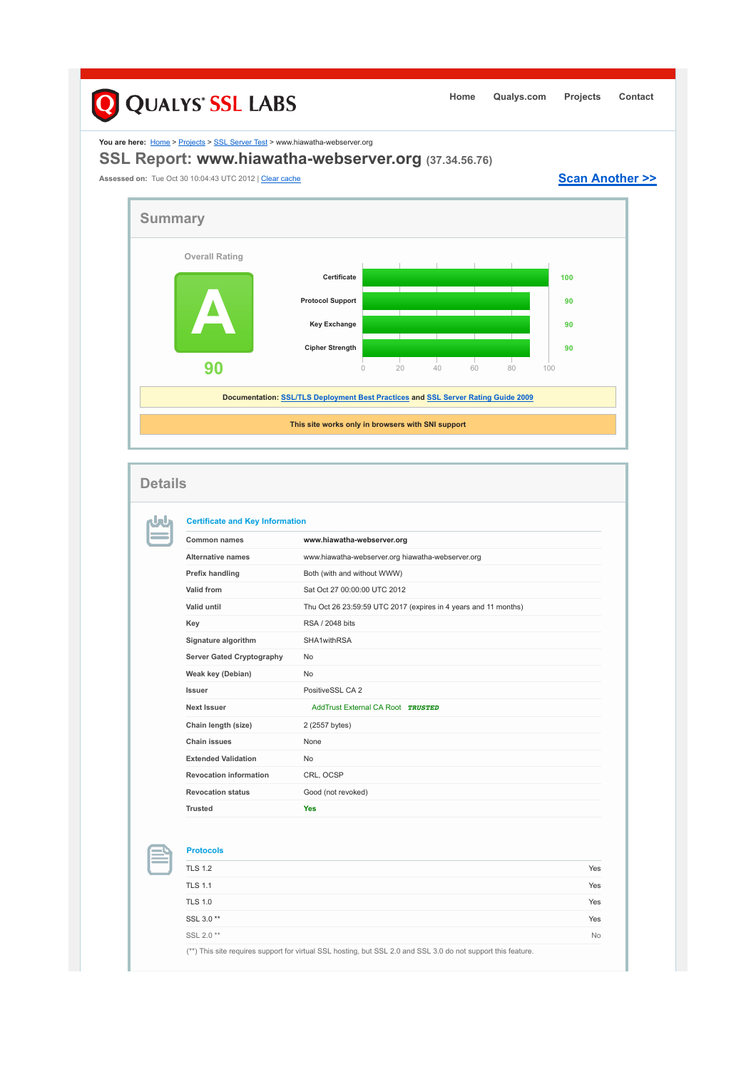## **Q** QUALYS' SSL LABS **Home Qualys.com Projects Contact** You are here: **Home > Projects > SSL Server Test > www.hiawatha-webserver.org SSL Report: www.hiawatha-webserver.org (37.34.56.76)** Assessed on: Tue Oct 30 10:04:43 UTC 2012 | Clear cache **Scan Another >> Summary Overall Rating Certificate 1000 A Protocol Support 90 Key Exchange 90 Cipher Strength 90 90** 0 20 40 60 80 100 **Documentation: SSL/TLS Deployment Best Practices and SSL Server Rating Guide 2009 This site works only in browsers with SNI support Details Certificate and Key Information** nJnu **Common names www.hiawatha-webserver.org Alternative names** www.hiawatha-webserver.org hiawatha-webserver.org **Prefix handling Both (with and without WWW) Valid from** Sat Oct 27 00:00:00 UTC 2012 **Valid until** Thu Oct 26 23:59:59 UTC 2017 (expires in 4 years and 11 months) **Key** RSA / 2048 bits **Signature algorithm** SHA1withRSA Server Gated Cryptography No **Weak key (Debian)** No **Issuer** PositiveSSL CA 2 **Next Issuer AddTrust External CA Root** *TRUSTED* **Chain length (size)** 2 (2557 bytes) **Chain issues** None **Extended Validation** No **Revocation information** CRL, OCSP **Revocation status** Good (not revoked)

**Trusted Yes**

| <b>Protocols</b>                                                                                              |           |
|---------------------------------------------------------------------------------------------------------------|-----------|
| <b>TLS 1.2</b>                                                                                                | Yes       |
| <b>TLS 1.1</b>                                                                                                | Yes       |
| <b>TLS 1.0</b>                                                                                                | Yes       |
| SSL 3.0**                                                                                                     | Yes       |
| SSL 2.0**                                                                                                     | <b>No</b> |
| (**) This site requires support for virtual SSL hosting, but SSL 2.0 and SSL 3.0 do not support this feature. |           |